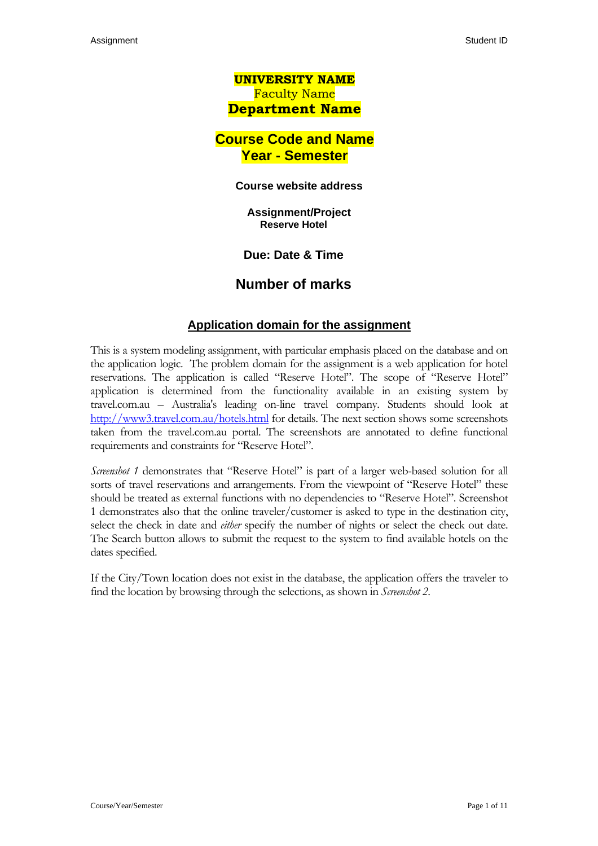# **UNIVERSITY NAME**  Faculty Name **Department Name**

# **Course Code and Name Year - Semester**

#### **Course website address**

**Assignment/Project Reserve Hotel** 

**Due: Date & Time** 

## **Number of marks**

## **Application domain for the assignment**

This is a system modeling assignment, with particular emphasis placed on the database and on the application logic. The problem domain for the assignment is a web application for hotel reservations. The application is called "Reserve Hotel". The scope of "Reserve Hotel" application is determined from the functionality available in an existing system by travel.com.au – Australia's leading on-line travel company. Students should look at <http://www3.travel.com.au/hotels.html> for details. The next section shows some screenshots taken from the travel.com.au portal. The screenshots are annotated to define functional requirements and constraints for "Reserve Hotel".

*Screenshot 1* demonstrates that "Reserve Hotel" is part of a larger web-based solution for all sorts of travel reservations and arrangements. From the viewpoint of "Reserve Hotel" these should be treated as external functions with no dependencies to "Reserve Hotel". Screenshot 1 demonstrates also that the online traveler/customer is asked to type in the destination city, select the check in date and *either* specify the number of nights or select the check out date. The Search button allows to submit the request to the system to find available hotels on the dates specified.

If the City/Town location does not exist in the database, the application offers the traveler to find the location by browsing through the selections, as shown in *Screenshot 2*.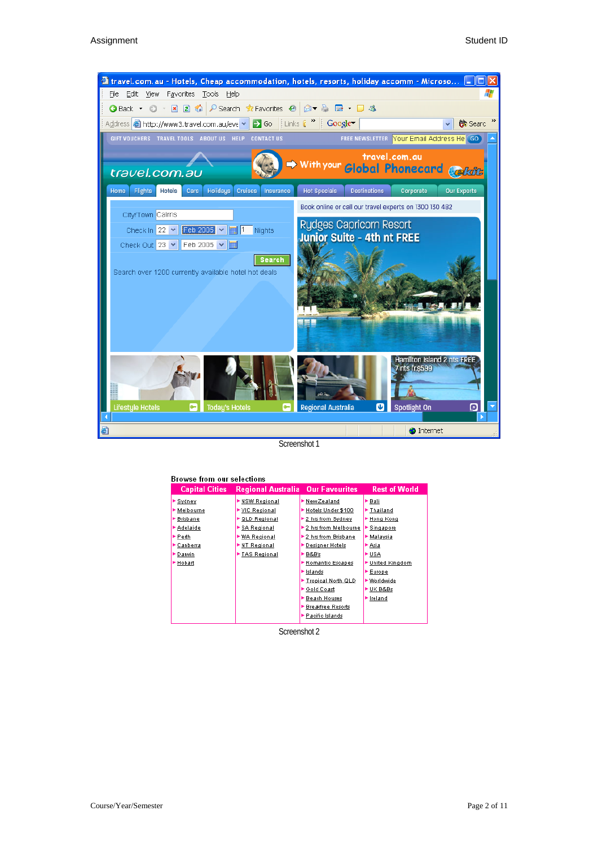

Screenshot 1

| Browse from our selections |                                          |                          |                      |  |  |  |  |  |
|----------------------------|------------------------------------------|--------------------------|----------------------|--|--|--|--|--|
| <b>Capital Cities</b>      | <b>Regional Australia Our Favourites</b> |                          | <b>Rest of World</b> |  |  |  |  |  |
| Sydney                     | NSW Regional                             | New Zealand              | ►Bali                |  |  |  |  |  |
| Melbourne                  | $\blacktriangleright$ VIC Regional       | Hotels Under \$100       | ▶ Thailand           |  |  |  |  |  |
| <b>Brisbane</b>            | <b>QLD Regional</b>                      | ▶ 2 hrs from Sydney      | ► Hong Kong          |  |  |  |  |  |
| Adelaide                   | <b>SA Regional</b>                       | ▶ 2 hrs from Melbourne   | Singapore            |  |  |  |  |  |
| ►Perth                     | WA Regional                              | ▶2 hrs from Brisbane     | ► Malaysia           |  |  |  |  |  |
| Canberra                   | NT Regional                              | ▶ Designer Hotels        | ► Asia               |  |  |  |  |  |
| Datwin                     | TAS Regional                             | ► B&B's                  | ►USA                 |  |  |  |  |  |
| Hobart                     |                                          | Romantic Escapes         | ▶ United Kingdom     |  |  |  |  |  |
|                            |                                          | ► Islands                | Europe               |  |  |  |  |  |
|                            |                                          | Tropical North QLD       | ▶ Worldwide          |  |  |  |  |  |
|                            |                                          | ▶ Gold Coast             | ► UK B&Bs            |  |  |  |  |  |
|                            |                                          | ▶ Beach Houses           | lreland              |  |  |  |  |  |
|                            |                                          | <b>Breakfree Resorts</b> |                      |  |  |  |  |  |
|                            |                                          | Pacific Islands          |                      |  |  |  |  |  |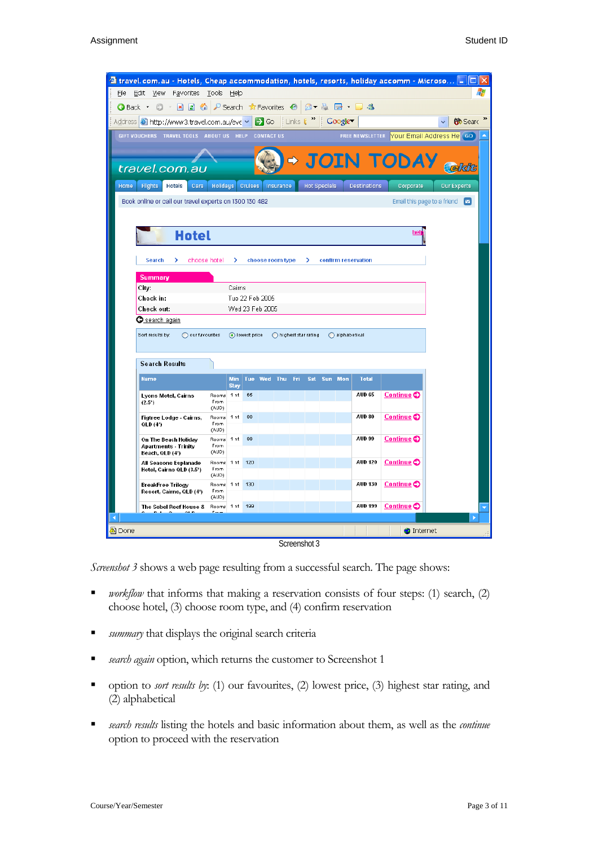| 4 travel.com.au - Hotels, Cheap accommodation, hotels, resorts, holiday accomm - Microso [_ |                                                                                                                |                           |                |                 |                     |  |   |                     |                         |                     |                                            |                    |  |
|---------------------------------------------------------------------------------------------|----------------------------------------------------------------------------------------------------------------|---------------------------|----------------|-----------------|---------------------|--|---|---------------------|-------------------------|---------------------|--------------------------------------------|--------------------|--|
| Edit View Favorites Tools Help<br>File                                                      |                                                                                                                |                           |                |                 |                     |  |   |                     |                         |                     |                                            |                    |  |
|                                                                                             | <b>●Back ● ■■●P Search ☆Favorites ● 2 ● ■ ■ ■ ■</b>                                                            |                           |                |                 |                     |  |   |                     |                         |                     |                                            |                    |  |
| Address @http://www3.travel.com.au/eve v > Go Links ( > Google                              |                                                                                                                |                           |                |                 |                     |  |   |                     |                         |                     |                                            | <b>to</b> Searc    |  |
| GIFT VOUCHERS TRAVEL TOOLS ABOUT US HELP CONTACT US                                         |                                                                                                                |                           |                |                 |                     |  |   |                     |                         |                     | FREE NEWSLETTER Your Email Address He (GO) |                    |  |
|                                                                                             |                                                                                                                |                           |                |                 |                     |  |   |                     |                         |                     | $\rightarrow$ JOIN TODAY <sub>Celsic</sub> |                    |  |
| travel.com.au                                                                               |                                                                                                                |                           |                |                 |                     |  |   |                     |                         |                     |                                            |                    |  |
| Home<br><b>Flights</b><br><b>Hotels</b><br>Cars                                             | <b>Holidays</b>                                                                                                |                           | <b>Cruises</b> |                 | Insurance           |  |   | <b>Hot Specials</b> |                         | <b>Destinations</b> | Corporate                                  | <b>Our Experts</b> |  |
|                                                                                             | Email this page to a friend $\boxed{\triangleright}$<br>Book online or call our travel experts on 1300 130 482 |                           |                |                 |                     |  |   |                     |                         |                     |                                            |                    |  |
|                                                                                             |                                                                                                                |                           |                |                 |                     |  |   |                     |                         |                     |                                            |                    |  |
| <b>Hotel</b>                                                                                |                                                                                                                |                           |                |                 |                     |  |   |                     |                         |                     | hel                                        |                    |  |
|                                                                                             |                                                                                                                |                           |                |                 |                     |  |   |                     |                         |                     |                                            |                    |  |
| choose hotel<br>Search<br>>                                                                 |                                                                                                                | >                         |                |                 | choose room type    |  | > |                     |                         | confirm reservation |                                            |                    |  |
| <b>Summary</b>                                                                              |                                                                                                                |                           |                |                 |                     |  |   |                     |                         |                     |                                            |                    |  |
| City:<br>Check in:                                                                          |                                                                                                                | Cairns                    |                | Tue 22 Feb 2005 |                     |  |   |                     |                         |                     |                                            |                    |  |
| Check out:                                                                                  |                                                                                                                |                           |                | Wed 23 Feb 2005 |                     |  |   |                     |                         |                     |                                            |                    |  |
| <u>G search again</u>                                                                       |                                                                                                                |                           |                |                 |                     |  |   |                     |                         |                     |                                            |                    |  |
| Sort results by:<br>◯ our favourites                                                        |                                                                                                                |                           | o lowest price |                 | highest star rating |  |   |                     | $\bigcirc$ alphabetical |                     |                                            |                    |  |
|                                                                                             |                                                                                                                |                           |                |                 |                     |  |   |                     |                         |                     |                                            |                    |  |
| <b>Search Results</b>                                                                       |                                                                                                                |                           |                |                 |                     |  |   |                     |                         |                     |                                            |                    |  |
| <b>Name</b>                                                                                 |                                                                                                                | <b>Min</b><br><b>Stay</b> | Tue:           |                 | Wed Thu Fri         |  |   | Sat Sun Mon         |                         | <b>Total</b>        |                                            |                    |  |
| Lyons Motel, Cairns                                                                         | Rooms                                                                                                          | 1 nt                      | 65             |                 |                     |  |   |                     |                         | <b>AUD 65</b>       | Continue <sup>O</sup>                      |                    |  |
| $(2.5^*)$                                                                                   | From:<br>(AUD)                                                                                                 |                           |                |                 |                     |  |   |                     |                         |                     |                                            |                    |  |
| Figtree Lodge - Cairns,<br>QLD (4*)                                                         | Rooms<br>From                                                                                                  | 1 nt                      | 80             |                 |                     |  |   |                     |                         | <b>AUD 80</b>       | Continue <sup>C</sup>                      |                    |  |
| On The Beach Holiday                                                                        | (AUD)<br>Rooms                                                                                                 | 1 <sub>nt</sub>           | 99             |                 |                     |  |   |                     |                         | <b>AUD 99</b>       | Continue C                                 |                    |  |
| Apartments - Trinity<br>Beach, QLD (4*)                                                     | From<br>(AUD)                                                                                                  |                           |                |                 |                     |  |   |                     |                         |                     |                                            |                    |  |
| All Seasons Esplanade<br>Hotel, Cairns QLD (3.5*)                                           | Rooms<br>From<br>(AUD)                                                                                         | 1 nt                      | 120            |                 |                     |  |   |                     |                         | <b>AUD 120</b>      | Continue C                                 |                    |  |
| BreakFree Trilogy<br>Resort, Cairns, QLD (4*)                                               | Rooms<br>From<br>(AUD)                                                                                         | 1 <sub>nt</sub>           | 130            |                 |                     |  |   |                     |                         | <b>AUD 130</b>      | Continue <sup>O</sup>                      |                    |  |
| The Sebel Reef House &                                                                      | Rooms                                                                                                          | 1 nt                      | 199            |                 |                     |  |   |                     |                         | <b>AUD 199</b>      | Continue <sup>C</sup>                      |                    |  |
| $\blacktriangleleft$                                                                        |                                                                                                                |                           |                |                 |                     |  |   |                     |                         |                     |                                            | Ъ                  |  |
| <sup>4</sup> i Done                                                                         |                                                                                                                |                           |                |                 |                     |  |   |                     |                         |                     | <b>O</b> Internet                          |                    |  |

Screenshot 3

*Screenshot 3* shows a web page resulting from a successful search. The page shows:

- *workflow* that informs that making a reservation consists of four steps: (1) search, (2) choose hotel, (3) choose room type, and (4) confirm reservation
- *summary* that displays the original search criteria
- *search again* option, which returns the customer to Screenshot 1
- option to *sort results by*: (1) our favourites, (2) lowest price, (3) highest star rating, and (2) alphabetical
- *search results* listing the hotels and basic information about them, as well as the *continue* option to proceed with the reservation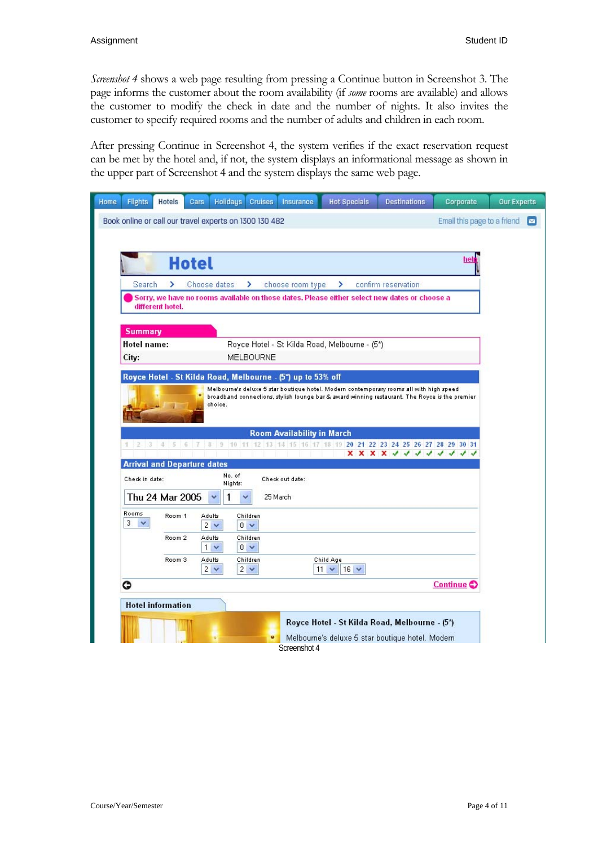*Screenshot 4* shows a web page resulting from pressing a Continue button in Screenshot 3. The page informs the customer about the room availability (if *some* rooms are available) and allows the customer to modify the check in date and the number of nights. It also invites the customer to specify required rooms and the number of adults and children in each room.

After pressing Continue in Screenshot 4, the system verifies if the exact reservation request can be met by the hotel and, if not, the system displays an informational message as shown in the upper part of Screenshot 4 and the system displays the same web page.

| Home | <b>Flights</b> | Hotels                             | Cars                     | <b>Holidaus</b>                                        | <b>Cruises</b>       | Insurance                                                   | <b>Hot Specials</b>                           | <b>Destinations</b>                                                                                       | Corporate                   | <b>Our Experts</b> |
|------|----------------|------------------------------------|--------------------------|--------------------------------------------------------|----------------------|-------------------------------------------------------------|-----------------------------------------------|-----------------------------------------------------------------------------------------------------------|-----------------------------|--------------------|
|      |                |                                    |                          | Book online or call our travel experts on 1300 130 482 |                      |                                                             |                                               |                                                                                                           | Email this page to a friend | ◛                  |
|      |                |                                    |                          |                                                        |                      |                                                             |                                               |                                                                                                           |                             |                    |
|      |                |                                    |                          |                                                        |                      |                                                             |                                               |                                                                                                           |                             |                    |
|      |                |                                    | <b>Hotel</b>             |                                                        |                      |                                                             |                                               |                                                                                                           | hel                         |                    |
|      | Search         | >                                  | Choose dates             |                                                        | ×                    | choose room type                                            | ⋗                                             | confirm reservation                                                                                       |                             |                    |
|      |                | different hotel.                   |                          |                                                        |                      |                                                             |                                               | Sorry, we have no rooms available on those dates. Please either select new dates or choose a              |                             |                    |
|      | <b>Summary</b> |                                    |                          |                                                        |                      |                                                             |                                               |                                                                                                           |                             |                    |
|      | Hotel name:    |                                    |                          |                                                        |                      |                                                             | Royce Hotel - St Kilda Road, Melbourne - (5*) |                                                                                                           |                             |                    |
|      | City:          |                                    |                          |                                                        | MELBOURNE            |                                                             |                                               |                                                                                                           |                             |                    |
|      |                |                                    |                          |                                                        |                      | Royce Hotel - St Kilda Road, Melbourne - (5*) up to 53% off |                                               |                                                                                                           |                             |                    |
|      | $1 \t2 \t3$    | 456                                | 3 <br>$\mathbb{Z}$       | choice.<br>$\left  \cdot \right $                      |                      | <b>Room Availability in March</b>                           |                                               | 10 11 12 13 14 15 16 17 18 19 20 21 22 23 24 25 26 27 28 29 30 31<br>x x x x <i>x x x x x x x x x x x</i> |                             |                    |
|      |                | <b>Arrival and Departure dates</b> |                          |                                                        |                      |                                                             |                                               |                                                                                                           |                             |                    |
|      | Check in date: |                                    |                          | No. of<br>Nights:                                      |                      | Check out date:                                             |                                               |                                                                                                           |                             |                    |
|      |                | Thu 24 Mar 2005                    |                          | 1                                                      |                      | 25 March                                                    |                                               |                                                                                                           |                             |                    |
|      | Rooms<br>3     | Room 1                             | Adults<br>$2 \vee$       |                                                        | Children<br>$0 \vee$ |                                                             |                                               |                                                                                                           |                             |                    |
|      |                | Room 2                             | Adults<br>1 <sub>v</sub> |                                                        | Children<br>$0 \vee$ |                                                             |                                               |                                                                                                           |                             |                    |
|      |                | Room <sub>3</sub>                  | Adults<br>$2 \vee$       |                                                        | Children<br>$2 \vee$ |                                                             | Child Age<br>$11 \times 16 \times$            |                                                                                                           |                             |                    |
|      | G              |                                    |                          |                                                        |                      |                                                             |                                               |                                                                                                           | Continue <sup>O</sup>       |                    |
|      |                | <b>Hotel information</b>           |                          |                                                        |                      |                                                             |                                               |                                                                                                           |                             |                    |
|      |                |                                    |                          |                                                        | ٠                    | Screenshot 4                                                |                                               | Royce Hotel - St Kilda Road, Melbourne - (5*)<br>Melbourne's deluxe 5 star boutique hotel. Modern         |                             |                    |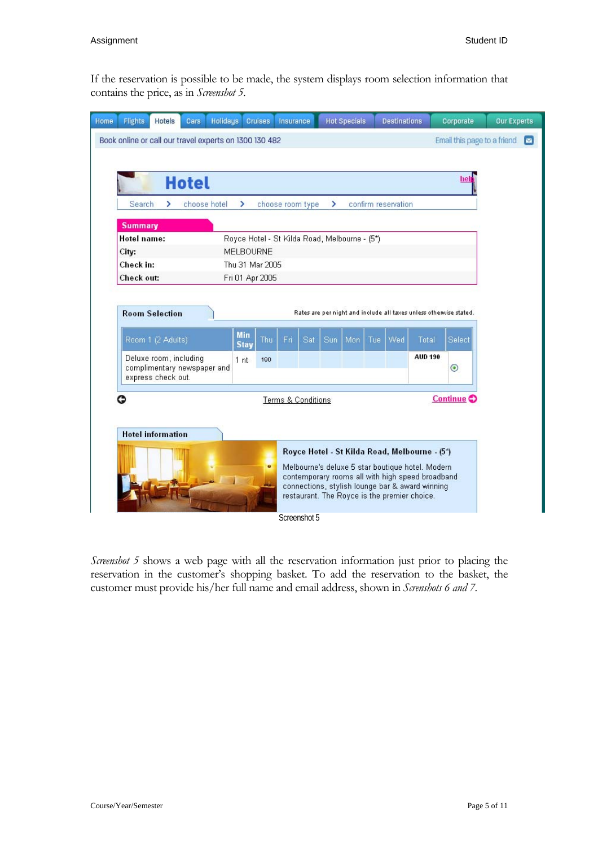If the reservation is possible to be made, the system displays room selection information that contains the price, as in *Screenshot 5*.

| <b>Hotels</b><br><b>Holidays</b><br><b>Flights</b><br>Cars<br>Home | <b>Cruises</b>                                  | Insurance          | <b>Hot Specials</b>                                                | <b>Destinations</b> |                | Corporate                   | <b>Our Experts</b> |  |  |  |
|--------------------------------------------------------------------|-------------------------------------------------|--------------------|--------------------------------------------------------------------|---------------------|----------------|-----------------------------|--------------------|--|--|--|
| Book online or call our travel experts on 1300 130 482             |                                                 |                    |                                                                    |                     |                | Email this page to a friend | $\sim$             |  |  |  |
|                                                                    |                                                 |                    |                                                                    |                     |                |                             |                    |  |  |  |
|                                                                    |                                                 |                    |                                                                    |                     |                | help                        |                    |  |  |  |
| <b>Hotel</b>                                                       |                                                 |                    |                                                                    |                     |                |                             |                    |  |  |  |
| <b>Search</b><br>choose hotel<br>×                                 | ×.                                              | choose room type   | $\overline{ }$                                                     | confirm reservation |                |                             |                    |  |  |  |
| <b>Summary</b>                                                     |                                                 |                    |                                                                    |                     |                |                             |                    |  |  |  |
| Hotel name:                                                        | Royce Hotel - St Kilda Road, Melbourne - (5*)   |                    |                                                                    |                     |                |                             |                    |  |  |  |
| City:                                                              | <b>MELBOURNE</b>                                |                    |                                                                    |                     |                |                             |                    |  |  |  |
| Check in:                                                          | Thu 31 Mar 2005                                 |                    |                                                                    |                     |                |                             |                    |  |  |  |
| Check out:                                                         | Fri 01 Apr 2005                                 |                    |                                                                    |                     |                |                             |                    |  |  |  |
|                                                                    |                                                 |                    |                                                                    |                     |                |                             |                    |  |  |  |
| <b>Room Selection</b>                                              |                                                 |                    | Rates are per night and include all taxes unless otherwise stated. |                     |                |                             |                    |  |  |  |
|                                                                    |                                                 |                    |                                                                    |                     |                |                             |                    |  |  |  |
| Room 1 (2 Adults)                                                  | <b>Min</b><br>Thu<br><b>Stay</b>                | Fri<br>Sat         | Sun<br>Mon                                                         | Wed<br><b>Tue</b>   | Total          | Select                      |                    |  |  |  |
| Deluxe room, including                                             | 1 <sub>nt</sub><br>190                          |                    |                                                                    |                     | <b>AUD 190</b> |                             |                    |  |  |  |
| complimentary newspaper and<br>express check out.                  |                                                 |                    |                                                                    |                     |                | $_{\odot}$                  |                    |  |  |  |
|                                                                    |                                                 |                    |                                                                    |                     |                |                             |                    |  |  |  |
| G                                                                  |                                                 | Terms & Conditions |                                                                    |                     |                | Continue <sup>O</sup>       |                    |  |  |  |
|                                                                    |                                                 |                    |                                                                    |                     |                |                             |                    |  |  |  |
| <b>Hotel information</b>                                           |                                                 |                    |                                                                    |                     |                |                             |                    |  |  |  |
|                                                                    |                                                 |                    | Royce Hotel - St Kilda Road, Melbourne - (5*)                      |                     |                |                             |                    |  |  |  |
|                                                                    | o                                               |                    | Melbourne's deluxe 5 star boutique hotel. Modern                   |                     |                |                             |                    |  |  |  |
|                                                                    |                                                 |                    | contemporary rooms all with high speed broadband                   |                     |                |                             |                    |  |  |  |
|                                                                    | connections, stylish lounge bar & award winning |                    |                                                                    |                     |                |                             |                    |  |  |  |
| restaurant. The Royce is the premier choice.                       |                                                 |                    |                                                                    |                     |                |                             |                    |  |  |  |
|                                                                    |                                                 | Screenshot 5       |                                                                    |                     |                |                             |                    |  |  |  |

*Screenshot 5* shows a web page with all the reservation information just prior to placing the reservation in the customer's shopping basket. To add the reservation to the basket, the customer must provide his/her full name and email address, shown in *Screnshots 6 and 7*.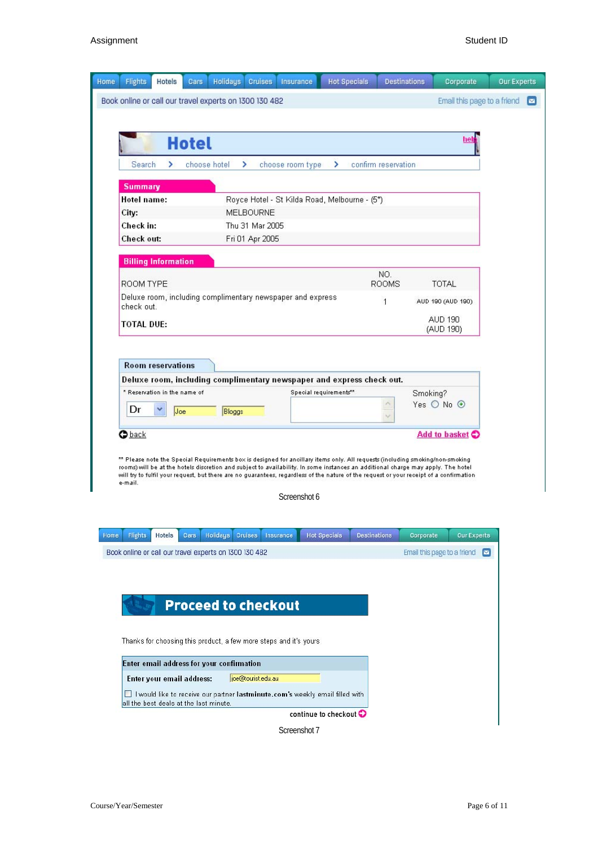

continue to checkout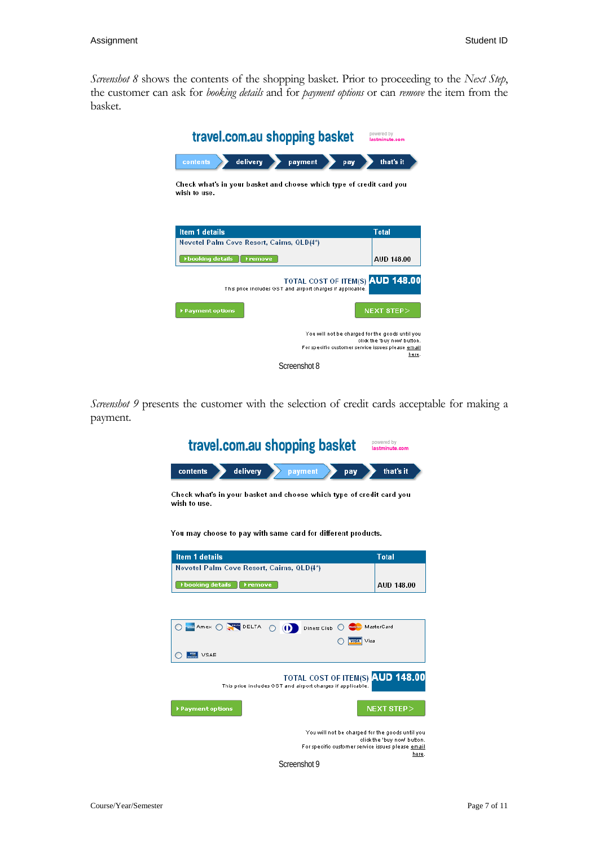*Screenshot 8* shows the contents of the shopping basket. Prior to proceeding to the *Next Step*, the customer can ask for *booking details* and for *payment options* or can *remove* the item from the basket.



*Screenshot 9* presents the customer with the selection of credit cards acceptable for making a payment.

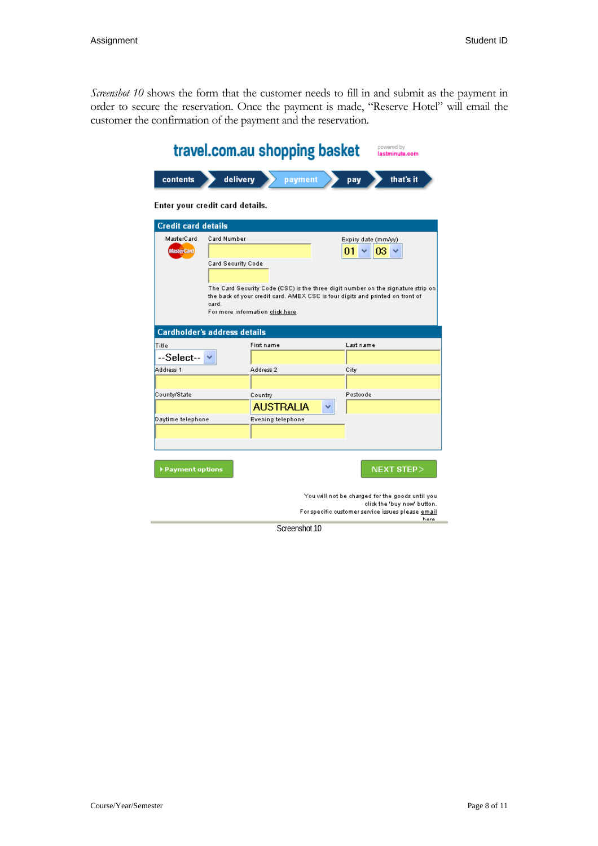*Screenshot 10* shows the form that the customer needs to fill in and submit as the payment in order to secure the reservation. Once the payment is made, "Reserve Hotel" will email the customer the confirmation of the payment and the reservation.

|                                     | travel.com.au shopping basket            |                   |                  |           | powered by<br>lastminute.com                                                                                                                                      |
|-------------------------------------|------------------------------------------|-------------------|------------------|-----------|-------------------------------------------------------------------------------------------------------------------------------------------------------------------|
| contents                            | delivery                                 |                   | payment          | pay       | that's it                                                                                                                                                         |
| Enter your credit card details.     |                                          |                   |                  |           |                                                                                                                                                                   |
| <b>Credit card details</b>          |                                          |                   |                  |           |                                                                                                                                                                   |
| MasterCard                          | Card Number                              |                   |                  |           | Expiry date (mm/yy)                                                                                                                                               |
| <b>MasterCard</b>                   |                                          |                   |                  | 01        | 03                                                                                                                                                                |
|                                     | Card Security Code                       |                   |                  |           |                                                                                                                                                                   |
|                                     |                                          |                   |                  |           |                                                                                                                                                                   |
|                                     | card.<br>For more information click here |                   |                  |           | The Card Security Code (CSC) is the three digit number on the signature strip on<br>the back of your credit card. AMEX CSC is four digits and printed on front of |
| <b>Cardholder's address details</b> |                                          |                   |                  |           |                                                                                                                                                                   |
| Title                               |                                          | First name        |                  | Last name |                                                                                                                                                                   |
| --Select--                          |                                          |                   |                  |           |                                                                                                                                                                   |
| Address 1                           |                                          | Address 2         |                  | City      |                                                                                                                                                                   |
|                                     |                                          |                   |                  |           |                                                                                                                                                                   |
| County/State                        |                                          | Country           |                  | Postcode  |                                                                                                                                                                   |
|                                     |                                          |                   | <b>AUSTRALIA</b> |           |                                                                                                                                                                   |
| Daytime telephone.                  |                                          | Evening telephone |                  |           |                                                                                                                                                                   |
|                                     |                                          |                   |                  |           |                                                                                                                                                                   |
|                                     |                                          |                   |                  |           |                                                                                                                                                                   |
| Payment options                     |                                          |                   |                  |           | $NEXT$ STEP $>$                                                                                                                                                   |
|                                     |                                          |                   |                  |           | You will not be charged for the goods until you<br>click the 'buy now' button.<br>For specific customer service issues please email<br>hara                       |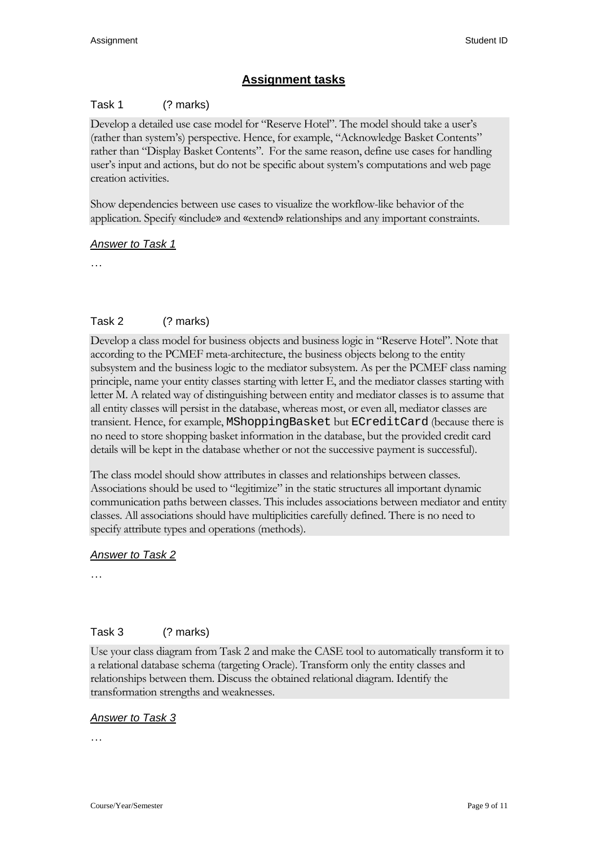# **Assignment tasks**

### Task 1 (? marks)

Develop a detailed use case model for "Reserve Hotel". The model should take a user's (rather than system's) perspective. Hence, for example, "Acknowledge Basket Contents" rather than "Display Basket Contents". For the same reason, define use cases for handling user's input and actions, but do not be specific about system's computations and web page creation activities.

Show dependencies between use cases to visualize the workflow-like behavior of the application. Specify «include» and «extend» relationships and any important constraints.

### *Answer to Task 1*

…

## Task 2 (? marks)

Develop a class model for business objects and business logic in "Reserve Hotel". Note that according to the PCMEF meta-architecture, the business objects belong to the entity subsystem and the business logic to the mediator subsystem. As per the PCMEF class naming principle, name your entity classes starting with letter E, and the mediator classes starting with letter M. A related way of distinguishing between entity and mediator classes is to assume that all entity classes will persist in the database, whereas most, or even all, mediator classes are transient. Hence, for example, MShoppingBasket but ECreditCard (because there is no need to store shopping basket information in the database, but the provided credit card details will be kept in the database whether or not the successive payment is successful).

The class model should show attributes in classes and relationships between classes. Associations should be used to "legitimize" in the static structures all important dynamic communication paths between classes. This includes associations between mediator and entity classes. All associations should have multiplicities carefully defined. There is no need to specify attribute types and operations (methods).

### *Answer to Task 2*

…

### Task 3 (? marks)

Use your class diagram from Task 2 and make the CASE tool to automatically transform it to a relational database schema (targeting Oracle). Transform only the entity classes and relationships between them. Discuss the obtained relational diagram. Identify the transformation strengths and weaknesses.

### *Answer to Task 3*

…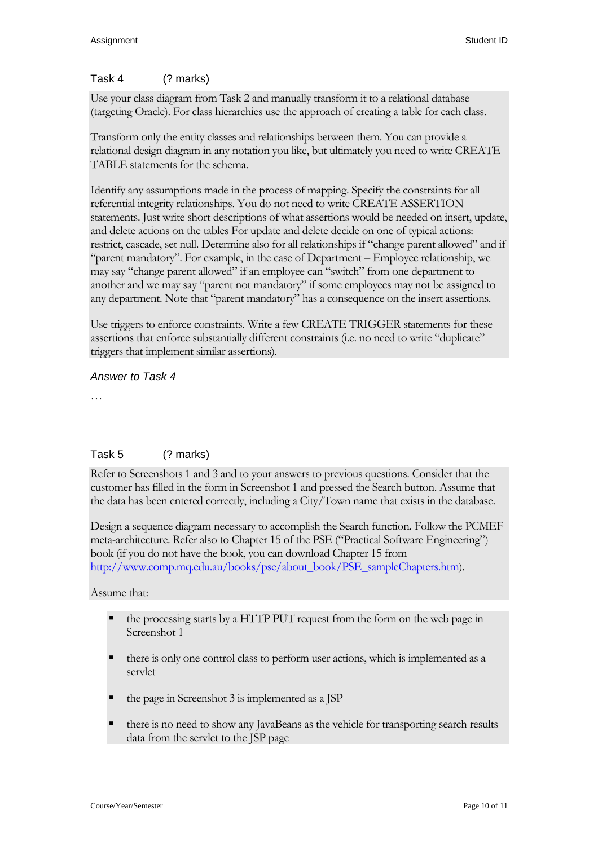### Task 4 (? marks)

Use your class diagram from Task 2 and manually transform it to a relational database (targeting Oracle). For class hierarchies use the approach of creating a table for each class.

Transform only the entity classes and relationships between them. You can provide a relational design diagram in any notation you like, but ultimately you need to write CREATE TABLE statements for the schema.

Identify any assumptions made in the process of mapping. Specify the constraints for all referential integrity relationships. You do not need to write CREATE ASSERTION statements. Just write short descriptions of what assertions would be needed on insert, update, and delete actions on the tables For update and delete decide on one of typical actions: restrict, cascade, set null. Determine also for all relationships if "change parent allowed" and if "parent mandatory". For example, in the case of Department – Employee relationship, we may say "change parent allowed" if an employee can "switch" from one department to another and we may say "parent not mandatory" if some employees may not be assigned to any department. Note that "parent mandatory" has a consequence on the insert assertions.

Use triggers to enforce constraints. Write a few CREATE TRIGGER statements for these assertions that enforce substantially different constraints (i.e. no need to write "duplicate" triggers that implement similar assertions).

### *Answer to Task 4*

…

## Task 5 (? marks)

Refer to Screenshots 1 and 3 and to your answers to previous questions. Consider that the customer has filled in the form in Screenshot 1 and pressed the Search button. Assume that the data has been entered correctly, including a City/Town name that exists in the database.

Design a sequence diagram necessary to accomplish the Search function. Follow the PCMEF meta-architecture. Refer also to Chapter 15 of the PSE ("Practical Software Engineering") book (if you do not have the book, you can download Chapter 15 from [http://www.comp.mq.edu.au/books/pse/about\\_book/PSE\\_sampleChapters.htm\)](http://www.comp.mq.edu.au/books/pse/about_book/PSE_sampleChapters.htm).

### Assume that:

- the processing starts by a HTTP PUT request from the form on the web page in Screenshot 1
- there is only one control class to perform user actions, which is implemented as a servlet
- the page in Screenshot 3 is implemented as a JSP
- there is no need to show any JavaBeans as the vehicle for transporting search results data from the servlet to the JSP page